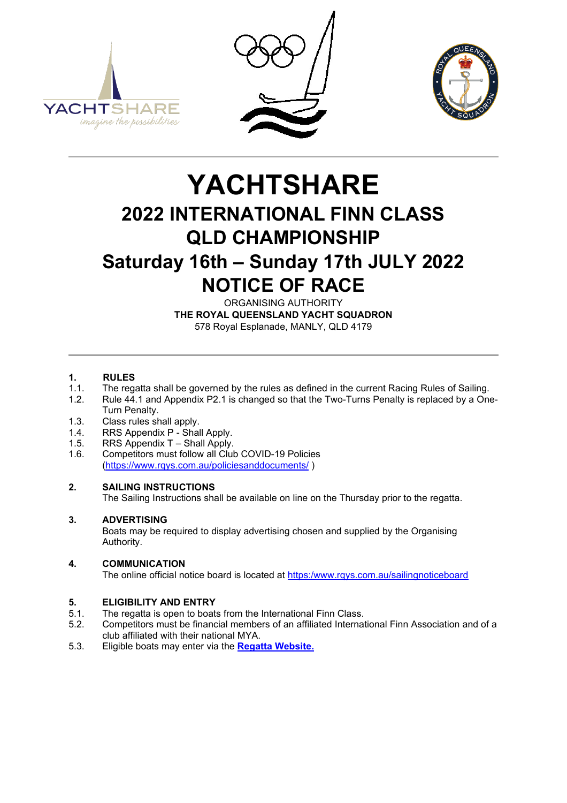





# **YACHTSHARE 2022 INTERNATIONAL FINN CLASS QLD CHAMPIONSHIP Saturday 16th – Sunday 17th JULY 2022 NOTICE OF RACE**

ORGANISING AUTHORITY **THE ROYAL QUEENSLAND YACHT SQUADRON** 578 Royal Esplanade, MANLY, QLD 4179

# **1. RULES**<br>**1.1.** The rea

- 1.1. The regatta shall be governed by the rules as defined in the current Racing Rules of Sailing.
- Rule 44.1 and Appendix P2.1 is changed so that the Two-Turns Penalty is replaced by a One-Turn Penalty.
- 
- 1.3. Class rules shall apply.<br>1.4. RRS Appendix P Shal 1.4. RRS Appendix P - Shall Apply.<br>1.5. RRS Appendix T - Shall Apply.
- 1.5. RRS Appendix T Shall Apply.<br>1.6. Competitors must follow all Clul
- Competitors must follow all Club COVID-19 Policies [\(https://www.rqys.com.au/policiesanddocuments/](https://www.rqys.com.au/policiesanddocuments/) )

### **2. SAILING INSTRUCTIONS**

The Sailing Instructions shall be available on line on the Thursday prior to the regatta.

### **3. ADVERTISING**

Boats may be required to display advertising chosen and supplied by the Organising Authority.

### **4. COMMUNICATION**

The online official notice board is located at [https:/www.rqys.com.au/sailingnoticeboard](https://www.rqys.com.au/sailingnoticeboard)

# **5. ELIGIBILITY AND ENTRY**

- 5.1. The regatta is open to boats from the International Finn Class.<br>5.2. Competitors must be financial members of an affiliated Internat
- 5.2. Competitors must be financial members of an affiliated International Finn Association and of a club affiliated with their national MYA.
- 5.3. Eligible boats may enter via the **Regatta [Website.](https://www.rqys.com.au/yachtshare-qld-finn-championships-2022)**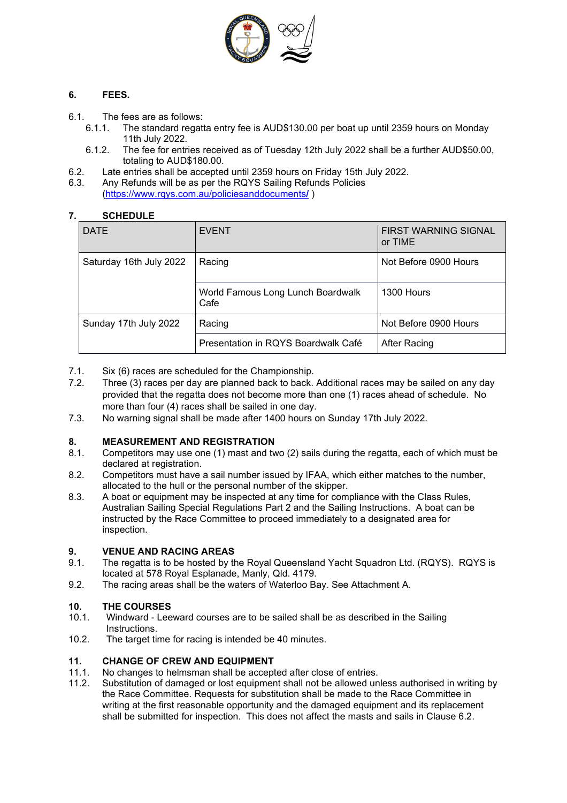

### **6. FEES.**

- 6.1. The fees are as follows:
	- 6.1.1. The standard regatta entry fee is AUD\$130.00 per boat up until 2359 hours on Monday 11th July 2022.
	- 6.1.2. The fee for entries received as of Tuesday 12th July 2022 shall be a further AUD\$50.00, totaling to AUD\$180.00.
- 6.2. Late entries shall be accepted until 2359 hours on Friday 15th July 2022.
- Any Refunds will be as per the RQYS Sailing Refunds Policies (https://www.rqys.com.au/policiesanddocuments**/** )

### **7. SCHEDULE**

| <b>DATE</b>             | <b>EVENT</b>                              | FIRST WARNING SIGNAL<br>or TIME |
|-------------------------|-------------------------------------------|---------------------------------|
| Saturday 16th July 2022 | Racing                                    | Not Before 0900 Hours           |
|                         | World Famous Long Lunch Boardwalk<br>Cafe | 1300 Hours                      |
| Sunday 17th July 2022   | Racing                                    | Not Before 0900 Hours           |
|                         | Presentation in RQYS Boardwalk Café       | After Racing                    |

- 7.1. Six (6) races are scheduled for the Championship.<br>7.2. Three (3) races per day are planned back to back.
- Three (3) races per day are planned back to back. Additional races may be sailed on any day provided that the regatta does not become more than one (1) races ahead of schedule. No more than four (4) races shall be sailed in one day.
- 7.3. No warning signal shall be made after 1400 hours on Sunday 17th July 2022.

# **8. MEASUREMENT AND REGISTRATION**

- 8.1. Competitors may use one (1) mast and two (2) sails during the regatta, each of which must be declared at registration.
- 8.2. Competitors must have a sail number issued by IFAA, which either matches to the number, allocated to the hull or the personal number of the skipper.
- 8.3. A boat or equipment may be inspected at any time for compliance with the Class Rules, Australian Sailing Special Regulations Part 2 and the Sailing Instructions. A boat can be instructed by the Race Committee to proceed immediately to a designated area for inspection.

# **9. VENUE AND RACING AREAS**

- 9.1. The regatta is to be hosted by the Royal Queensland Yacht Squadron Ltd. (RQYS). RQYS is located at 578 Royal Esplanade, Manly, Qld. 4179.
- 9.2. The racing areas shall be the waters of Waterloo Bay. See Attachment A.

# **10. THE COURSES**

- Windward Leeward courses are to be sailed shall be as described in the Sailing Instructions.
- 10.2. The target time for racing is intended be 40 minutes.

## **11. CHANGE OF CREW AND EQUIPMENT**

- 11.1. No changes to helmsman shall be accepted after close of entries.<br>11.2. Substitution of damaged or lost equipment shall not be allowed un
- Substitution of damaged or lost equipment shall not be allowed unless authorised in writing by the Race Committee. Requests for substitution shall be made to the Race Committee in writing at the first reasonable opportunity and the damaged equipment and its replacement shall be submitted for inspection. This does not affect the masts and sails in Clause 6.2.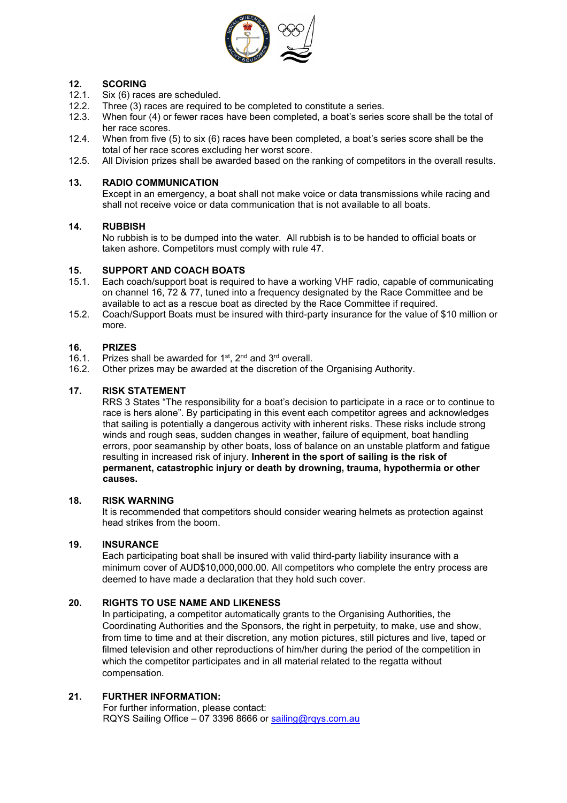

# **12. <b>SCORING**<br>12.1. **Six (6)** race

- 12.1. Six (6) races are scheduled.<br>12.2. Three (3) races are required
- 12.2. Three (3) races are required to be completed to constitute a series.<br>12.3. When four (4) or fewer races have been completed, a boat's series
- When four (4) or fewer races have been completed, a boat's series score shall be the total of her race scores.
- 12.4. When from five (5) to six (6) races have been completed, a boat's series score shall be the total of her race scores excluding her worst score.
- 12.5. All Division prizes shall be awarded based on the ranking of competitors in the overall results.

### **13. RADIO COMMUNICATION**

Except in an emergency, a boat shall not make voice or data transmissions while racing and shall not receive voice or data communication that is not available to all boats.

### **14. RUBBISH**

No rubbish is to be dumped into the water. All rubbish is to be handed to official boats or taken ashore. Competitors must comply with rule 47.

# **15. SUPPORT AND COACH BOATS**

- 15.1. Each coach/support boat is required to have a working VHF radio, capable of communicating on channel 16, 72 & 77, tuned into a frequency designated by the Race Committee and be available to act as a rescue boat as directed by the Race Committee if required.
- 15.2. Coach/Support Boats must be insured with third-party insurance for the value of \$10 million or more.

# **16. PRIZES**

- 16.1. Prizes shall be awarded for 1st,  $2<sup>nd</sup>$  and  $3<sup>rd</sup>$  overall.<br>16.2. Other prizes may be awarded at the discretion of ti
- Other prizes may be awarded at the discretion of the Organising Authority.

### **17. RISK STATEMENT**

RRS 3 States "The responsibility for a boat's decision to participate in a race or to continue to race is hers alone". By participating in this event each competitor agrees and acknowledges that sailing is potentially a dangerous activity with inherent risks. These risks include strong winds and rough seas, sudden changes in weather, failure of equipment, boat handling errors, poor seamanship by other boats, loss of balance on an unstable platform and fatigue resulting in increased risk of injury. **Inherent in the sport of sailing is the risk of permanent, catastrophic injury or death by drowning, trauma, hypothermia or other causes.**

### **18. RISK WARNING**

It is recommended that competitors should consider wearing helmets as protection against head strikes from the boom.

### **19. INSURANCE**

Each participating boat shall be insured with valid third-party liability insurance with a minimum cover of AUD\$10,000,000.00. All competitors who complete the entry process are deemed to have made a declaration that they hold such cover.

### **20. RIGHTS TO USE NAME AND LIKENESS**

In participating, a competitor automatically grants to the Organising Authorities, the Coordinating Authorities and the Sponsors, the right in perpetuity, to make, use and show, from time to time and at their discretion, any motion pictures, still pictures and live, taped or filmed television and other reproductions of him/her during the period of the competition in which the competitor participates and in all material related to the regatta without compensation.

### **21. FURTHER INFORMATION:**

For further information, please contact: RQYS Sailing Office – 07 3396 8666 or [sailing@rqys.com.au](mailto:sailing@rqys.com.au)